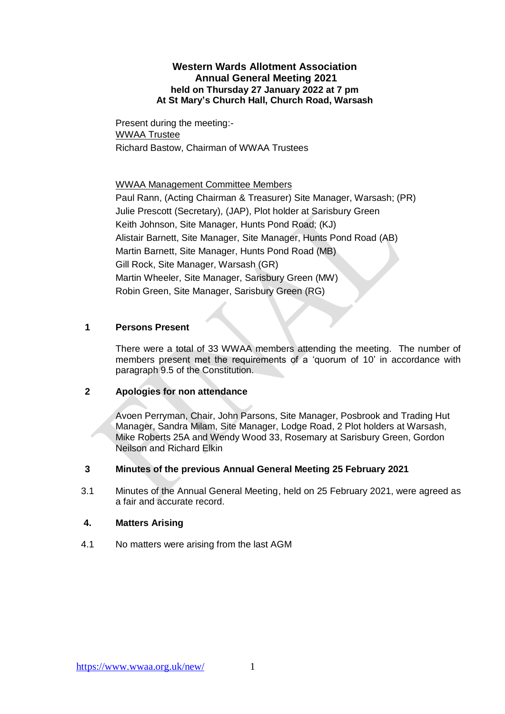# **Western Wards Allotment Association Annual General Meeting 2021 held on Thursday 27 January 2022 at 7 pm At St Mary's Church Hall, Church Road, Warsash**

Present during the meeting:- WWAA Trustee Richard Bastow, Chairman of WWAA Trustees

WWAA Management Committee Members

Paul Rann, (Acting Chairman & Treasurer) Site Manager, Warsash; (PR) Julie Prescott (Secretary), (JAP), Plot holder at Sarisbury Green Keith Johnson, Site Manager, Hunts Pond Road; (KJ) Alistair Barnett, Site Manager, Site Manager, Hunts Pond Road (AB) Martin Barnett, Site Manager, Hunts Pond Road (MB) Gill Rock, Site Manager, Warsash (GR) Martin Wheeler, Site Manager, Sarisbury Green (MW) Robin Green, Site Manager, Sarisbury Green (RG)

# **1 Persons Present**

There were a total of 33 WWAA members attending the meeting. The number of members present met the requirements of a 'quorum of 10' in accordance with paragraph 9.5 of the Constitution.

# **2 Apologies for non attendance**

Avoen Perryman, Chair, John Parsons, Site Manager, Posbrook and Trading Hut Manager, Sandra Milam, Site Manager, Lodge Road, 2 Plot holders at Warsash, Mike Roberts 25A and Wendy Wood 33, Rosemary at Sarisbury Green, Gordon Neilson and Richard Elkin

# **3 Minutes of the previous Annual General Meeting 25 February 2021**

3.1 Minutes of the Annual General Meeting, held on 25 February 2021, were agreed as a fair and accurate record.

# **4. Matters Arising**

4.1 No matters were arising from the last AGM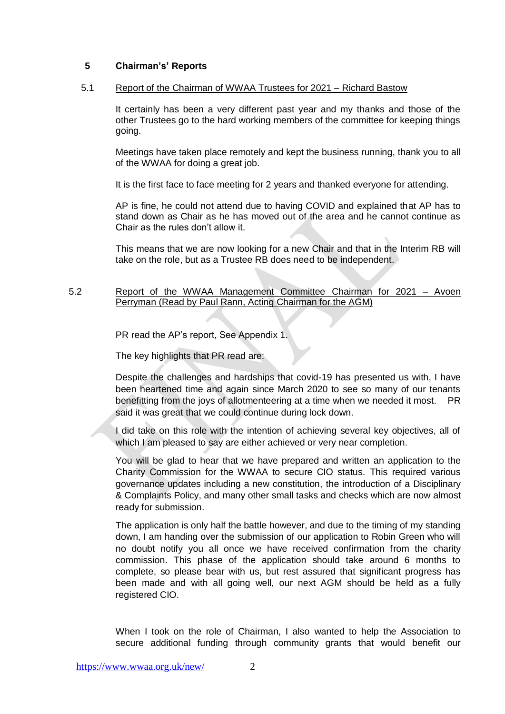# **5 Chairman's' Reports**

### 5.1 Report of the Chairman of WWAA Trustees for 2021 – Richard Bastow

It certainly has been a very different past year and my thanks and those of the other Trustees go to the hard working members of the committee for keeping things going.

Meetings have taken place remotely and kept the business running, thank you to all of the WWAA for doing a great job.

It is the first face to face meeting for 2 years and thanked everyone for attending.

AP is fine, he could not attend due to having COVID and explained that AP has to stand down as Chair as he has moved out of the area and he cannot continue as Chair as the rules don't allow it.

This means that we are now looking for a new Chair and that in the Interim RB will take on the role, but as a Trustee RB does need to be independent.

# 5.2 Report of the WWAA Management Committee Chairman for 2021 – Avoen Perryman (Read by Paul Rann, Acting Chairman for the AGM)

PR read the AP's report, See Appendix 1.

The key highlights that PR read are:

Despite the challenges and hardships that covid-19 has presented us with, I have been heartened time and again since March 2020 to see so many of our tenants benefitting from the joys of allotmenteering at a time when we needed it most. PR said it was great that we could continue during lock down.

I did take on this role with the intention of achieving several key objectives, all of which I am pleased to say are either achieved or very near completion.

You will be glad to hear that we have prepared and written an application to the Charity Commission for the WWAA to secure CIO status. This required various governance updates including a new constitution, the introduction of a Disciplinary & Complaints Policy, and many other small tasks and checks which are now almost ready for submission.

The application is only half the battle however, and due to the timing of my standing down, I am handing over the submission of our application to Robin Green who will no doubt notify you all once we have received confirmation from the charity commission. This phase of the application should take around 6 months to complete, so please bear with us, but rest assured that significant progress has been made and with all going well, our next AGM should be held as a fully registered CIO.

When I took on the role of Chairman, I also wanted to help the Association to secure additional funding through community grants that would benefit our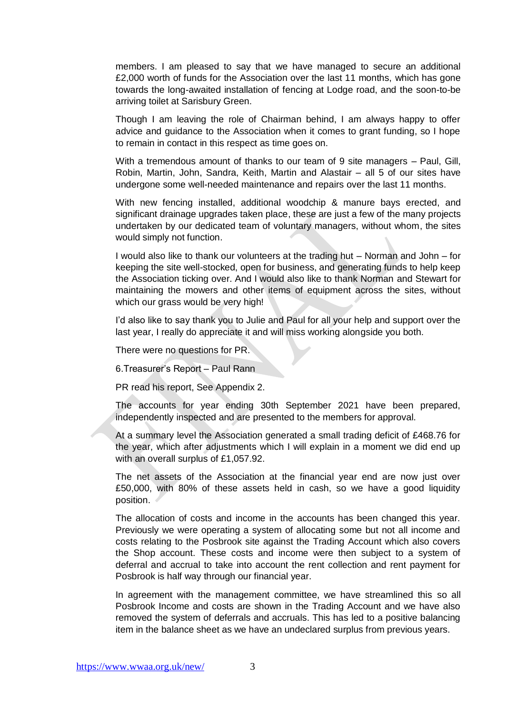members. I am pleased to say that we have managed to secure an additional £2,000 worth of funds for the Association over the last 11 months, which has gone towards the long-awaited installation of fencing at Lodge road, and the soon-to-be arriving toilet at Sarisbury Green.

Though I am leaving the role of Chairman behind, I am always happy to offer advice and guidance to the Association when it comes to grant funding, so I hope to remain in contact in this respect as time goes on.

With a tremendous amount of thanks to our team of 9 site managers – Paul, Gill, Robin, Martin, John, Sandra, Keith, Martin and Alastair – all 5 of our sites have undergone some well-needed maintenance and repairs over the last 11 months.

With new fencing installed, additional woodchip & manure bays erected, and significant drainage upgrades taken place, these are just a few of the many projects undertaken by our dedicated team of voluntary managers, without whom, the sites would simply not function.

I would also like to thank our volunteers at the trading hut – Norman and John – for keeping the site well-stocked, open for business, and generating funds to help keep the Association ticking over. And I would also like to thank Norman and Stewart for maintaining the mowers and other items of equipment across the sites, without which our grass would be very high!

I'd also like to say thank you to Julie and Paul for all your help and support over the last year, I really do appreciate it and will miss working alongside you both.

There were no questions for PR.

6.Treasurer's Report – Paul Rann

PR read his report, See Appendix 2.

The accounts for year ending 30th September 2021 have been prepared, independently inspected and are presented to the members for approval.

At a summary level the Association generated a small trading deficit of £468.76 for the year, which after adjustments which I will explain in a moment we did end up with an overall surplus of £1,057.92.

The net assets of the Association at the financial year end are now just over £50,000, with 80% of these assets held in cash, so we have a good liquidity position.

The allocation of costs and income in the accounts has been changed this year. Previously we were operating a system of allocating some but not all income and costs relating to the Posbrook site against the Trading Account which also covers the Shop account. These costs and income were then subject to a system of deferral and accrual to take into account the rent collection and rent payment for Posbrook is half way through our financial year.

In agreement with the management committee, we have streamlined this so all Posbrook Income and costs are shown in the Trading Account and we have also removed the system of deferrals and accruals. This has led to a positive balancing item in the balance sheet as we have an undeclared surplus from previous years.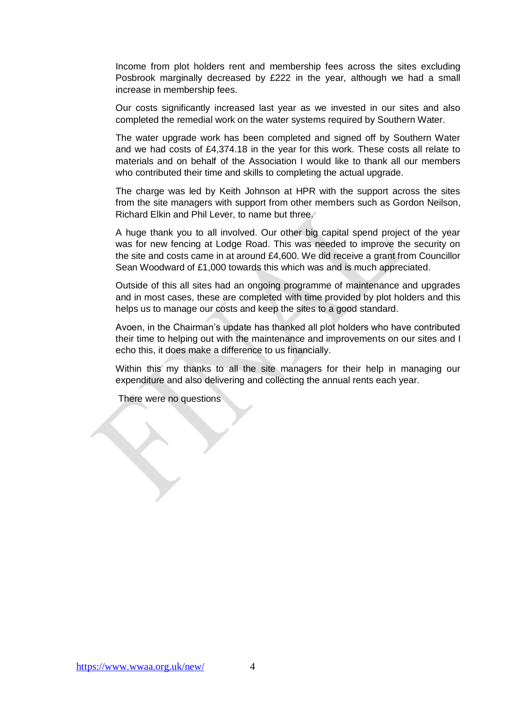Income from plot holders rent and membership fees across the sites excluding Posbrook marginally decreased by £222 in the year, although we had a small increase in membership fees.

Our costs significantly increased last year as we invested in our sites and also completed the remedial work on the water systems required by Southern Water.

The water upgrade work has been completed and signed off by Southern Water and we had costs of £4,374.18 in the year for this work. These costs all relate to materials and on behalf of the Association I would like to thank all our members who contributed their time and skills to completing the actual upgrade.

The charge was led by Keith Johnson at HPR with the support across the sites from the site managers with support from other members such as Gordon Neilson, Richard Elkin and Phil Lever, to name but three.

A huge thank you to all involved. Our other big capital spend project of the year was for new fencing at Lodge Road. This was needed to improve the security on the site and costs came in at around £4,600. We did receive a grant from Councillor Sean Woodward of £1,000 towards this which was and is much appreciated.

Outside of this all sites had an ongoing programme of maintenance and upgrades and in most cases, these are completed with time provided by plot holders and this helps us to manage our costs and keep the sites to a good standard.

Avoen, in the Chairman's update has thanked all plot holders who have contributed their time to helping out with the maintenance and improvements on our sites and I echo this, it does make a difference to us financially.

Within this my thanks to all the site managers for their help in managing our expenditure and also delivering and collecting the annual rents each year.

There were no questions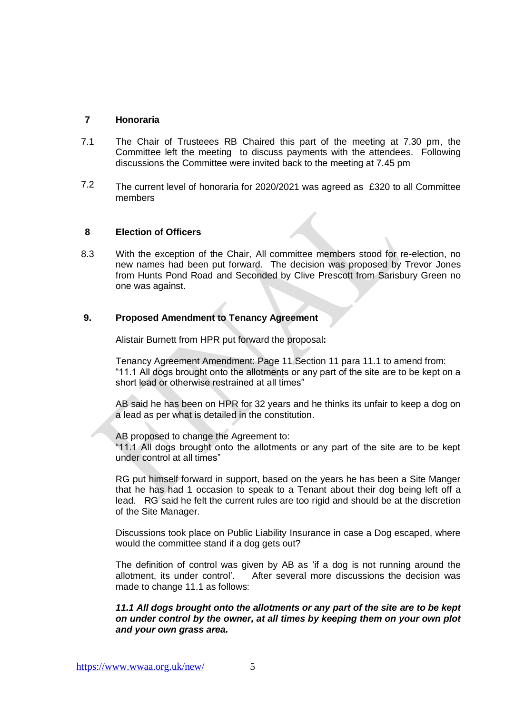# **7 Honoraria**

- 7.1 The Chair of Trusteees RB Chaired this part of the meeting at 7.30 pm, the Committee left the meeting to discuss payments with the attendees. Following discussions the Committee were invited back to the meeting at 7.45 pm
- 7.2 The current level of honoraria for 2020/2021 was agreed as £320 to all Committee members

# **8 Election of Officers**

8.3 With the exception of the Chair, All committee members stood for re-election, no new names had been put forward. The decision was proposed by Trevor Jones from Hunts Pond Road and Seconded by Clive Prescott from Sarisbury Green no one was against.

### **9. Proposed Amendment to Tenancy Agreement**

Alistair Burnett from HPR put forward the proposal**:**

Tenancy Agreement Amendment: Page 11 Section 11 para 11.1 to amend from: "11.1 All dogs brought onto the allotments or any part of the site are to be kept on a short lead or otherwise restrained at all times"

AB said he has been on HPR for 32 years and he thinks its unfair to keep a dog on a lead as per what is detailed in the constitution.

AB proposed to change the Agreement to:

"11.1 All dogs brought onto the allotments or any part of the site are to be kept under control at all times"

RG put himself forward in support, based on the years he has been a Site Manger that he has had 1 occasion to speak to a Tenant about their dog being left off a lead. RG said he felt the current rules are too rigid and should be at the discretion of the Site Manager.

Discussions took place on Public Liability Insurance in case a Dog escaped, where would the committee stand if a dog gets out?

The definition of control was given by AB as 'if a dog is not running around the allotment, its under control'. After several more discussions the decision was made to change 11.1 as follows:

*11.1 All dogs brought onto the allotments or any part of the site are to be kept on under control by the owner, at all times by keeping them on your own plot and your own grass area.*